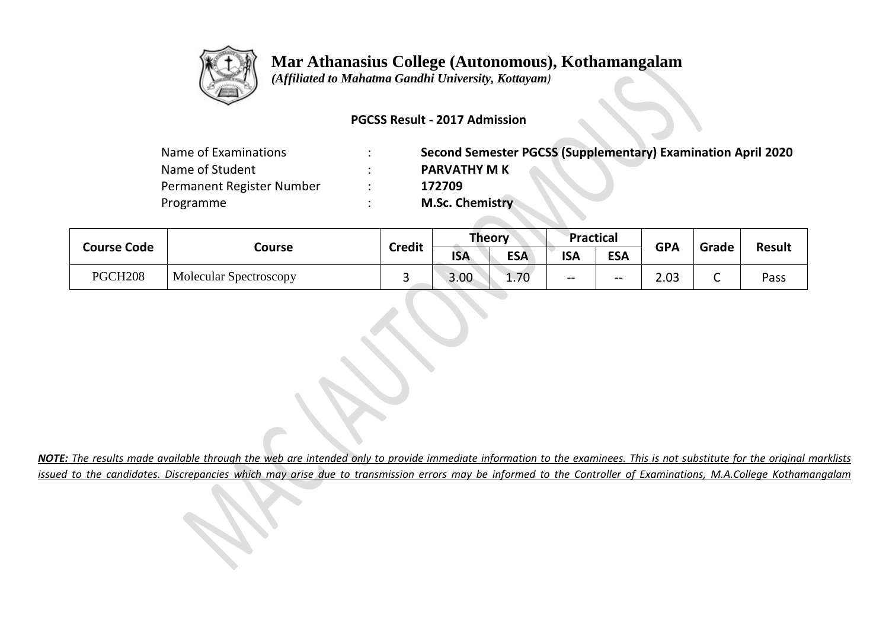

## **Mar Athanasius College (Autonomous), Kothamangalam**

 *(Affiliated to Mahatma Gandhi University, Kottayam)*

## **PGCSS Result - 2017 Admission**

| Name of Examinations      | Second Semester PGCSS (Supplementary) Examination April 2020 |
|---------------------------|--------------------------------------------------------------|
| Name of Student           | <b>PARVATHY M K</b>                                          |
| Permanent Register Number | 172709                                                       |
| Programme                 | <b>M.Sc. Chemistry</b>                                       |
|                           |                                                              |

| <b>Course Code</b>  | Course                        | <b>Credit</b> |            | <b>Theory</b> | Practical  |            | <b>GPA</b> |       | <b>Result</b> |
|---------------------|-------------------------------|---------------|------------|---------------|------------|------------|------------|-------|---------------|
|                     |                               |               | <b>ISA</b> | <b>ESA</b>    | <b>ISA</b> | <b>ESA</b> |            | Grade |               |
| PGCH <sub>208</sub> | <b>Molecular Spectroscopy</b> |               | 3.00       | 1.70          | $- -$      | $- -$      | 2.03       | ∽     | Pass          |

*NOTE: The results made available through the web are intended only to provide immediate information to the examinees. This is not substitute for the original marklists issued to the candidates. Discrepancies which may arise due to transmission errors may be informed to the Controller of Examinations, M.A.College Kothamangalam*